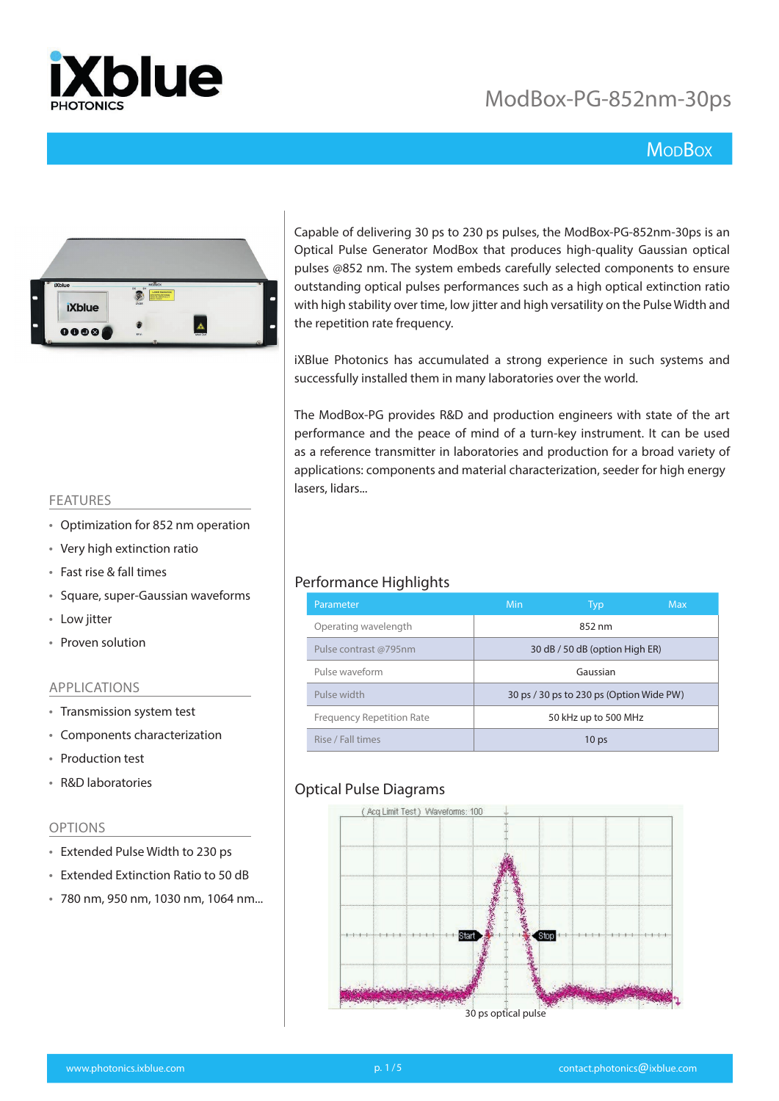

## **MopBox**



Capable of delivering 30 ps to 230 ps pulses, the ModBox-PG-852nm-30ps is an Optical Pulse Generator ModBox that produces high-quality Gaussian optical pulses @852 nm. The system embeds carefully selected components to ensure outstanding optical pulses performances such as a high optical extinction ratio with high stability over time, low jitter and high versatility on the Pulse Width and the repetition rate frequency.

iXBlue Photonics has accumulated a strong experience in such systems and successfully installed them in many laboratories over the world.

The ModBox-PG provides R&D and production engineers with state of the art performance and the peace of mind of a turn-key instrument. It can be used as a reference transmitter in laboratories and production for a broad variety of applications: components and material characterization, seeder for high energy lasers, lidars...

#### FEATURES

- Optimization for 852 nm operation
- Very high extinction ratio
- Fast rise & fall times
- Square, super-Gaussian waveforms
- Low jitter
- Proven solution

#### APPLICATIONS

- Transmission system test
- Components characterization
- Production test
- R&D laboratories

#### OPTIONS

- Extended Pulse Width to 230 ps
- Extended Extinction Ratio to 50 dB
- 780 nm, 950 nm, 1030 nm, 1064 nm...

#### Performance Highlights

| Parameter                        | Min      | Typ                                      | Max |
|----------------------------------|----------|------------------------------------------|-----|
| Operating wavelength             |          | 852 nm                                   |     |
| Pulse contrast @795nm            |          | 30 dB / 50 dB (option High ER)           |     |
| Pulse waveform                   | Gaussian |                                          |     |
| Pulse width                      |          | 30 ps / 30 ps to 230 ps (Option Wide PW) |     |
| <b>Frequency Repetition Rate</b> |          | 50 kHz up to 500 MHz                     |     |
| Rise / Fall times                |          | 10 <sub>ps</sub>                         |     |

### Optical Pulse Diagrams

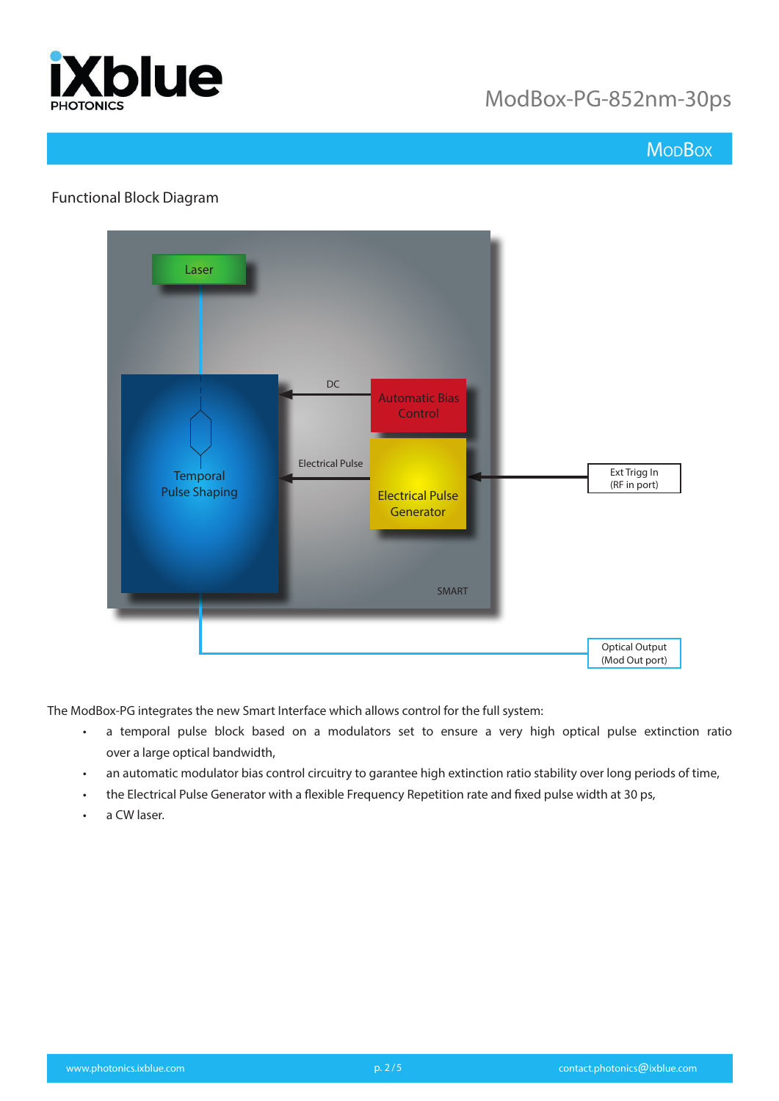

## **Mo<sub>D</sub>Box**

### Functional Block Diagram



The ModBox-PG integrates the new Smart Interface which allows control for the full system:

- a temporal pulse block based on a modulators set to ensure a very high optical pulse extinction ratio over a large optical bandwidth,
- an automatic modulator bias control circuitry to garantee high extinction ratio stability over long periods of time,
- the Electrical Pulse Generator with a flexible Frequency Repetition rate and fixed pulse width at 30 ps,
- a CW laser.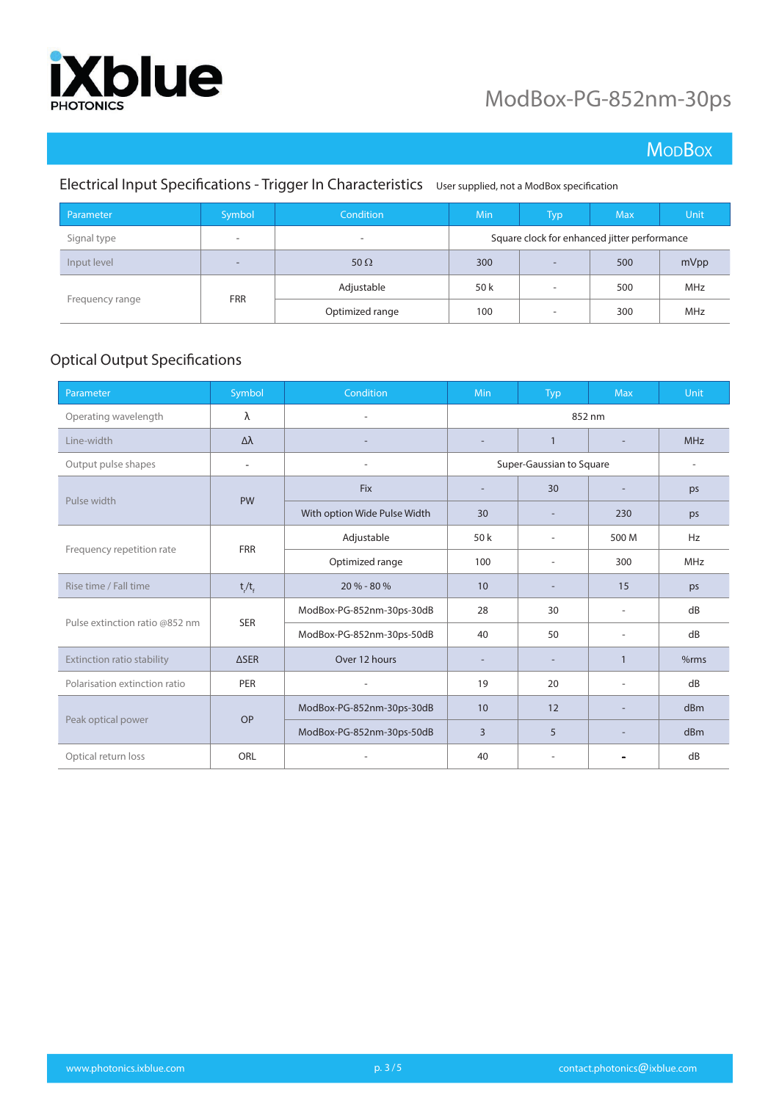

## **MoDBox**

### Electrical Input Specifications - Trigger In Characteristics User supplied, not a ModBox specification

| Parameter                     | Symbol                   | <b>Condition</b>         | <b>Min</b>                                   | Typ                      | <b>Max</b> | Unit. |
|-------------------------------|--------------------------|--------------------------|----------------------------------------------|--------------------------|------------|-------|
| Signal type                   | -                        | $\overline{\phantom{a}}$ | Square clock for enhanced jitter performance |                          |            |       |
| Input level                   | $\overline{\phantom{a}}$ | 50 $\Omega$              | 300                                          | $\overline{\phantom{a}}$ | 500        | mVpp  |
| <b>FRR</b><br>Frequency range | Adjustable               | 50 k                     | $\overline{\phantom{a}}$                     | 500                      | MHz        |       |
|                               |                          | Optimized range          | 100                                          | $\overline{\phantom{a}}$ | 300        | MHz   |

### Optical Output Specifications

| Parameter                      | Symbol                   | Condition                    | Min                      | Typ                      | <b>Max</b>               | Unit       |
|--------------------------------|--------------------------|------------------------------|--------------------------|--------------------------|--------------------------|------------|
| Operating wavelength           | λ                        |                              | 852 nm                   |                          |                          |            |
| Line-width                     | Δλ                       |                              | $\overline{a}$           | $\mathbf{1}$             |                          | <b>MHz</b> |
| Output pulse shapes            | $\overline{\phantom{a}}$ |                              | Super-Gaussian to Square |                          |                          |            |
| Pulse width                    |                          | <b>Fix</b>                   | $\overline{\phantom{a}}$ | 30                       |                          | ps         |
|                                | <b>PW</b>                | With option Wide Pulse Width | 30                       | $\overline{\phantom{a}}$ | 230                      | ps         |
| Frequency repetition rate      | <b>FRR</b>               | Adjustable                   | 50 k                     | ٠                        | 500 M                    | Hz         |
|                                |                          | Optimized range              | 100                      | ٠                        | 300                      | MHz        |
| Rise time / Fall time          | $t/t_f$                  | 20 % - 80 %                  | 10 <sup>°</sup>          | $\overline{\phantom{a}}$ | 15                       | ps         |
|                                |                          | ModBox-PG-852nm-30ps-30dB    | 28                       | 30                       | $\overline{\phantom{0}}$ | dB         |
| Pulse extinction ratio @852 nm | <b>SER</b>               | ModBox-PG-852nm-30ps-50dB    | 40                       | 50                       | ٠                        | dB         |
| Extinction ratio stability     | $\triangle$ SER          | Over 12 hours                |                          | $\overline{\phantom{a}}$ | $\mathbf{1}$             | %rms       |
| Polarisation extinction ratio  | PER                      |                              | 19                       | 20                       | ÷,                       | dB         |
| Peak optical power             | <b>OP</b>                | ModBox-PG-852nm-30ps-30dB    | 10                       | 12                       |                          | dBm        |
|                                |                          | ModBox-PG-852nm-30ps-50dB    | 3                        | 5                        |                          | dBm        |
| Optical return loss            | ORL                      |                              | 40                       | ۰                        |                          | dB         |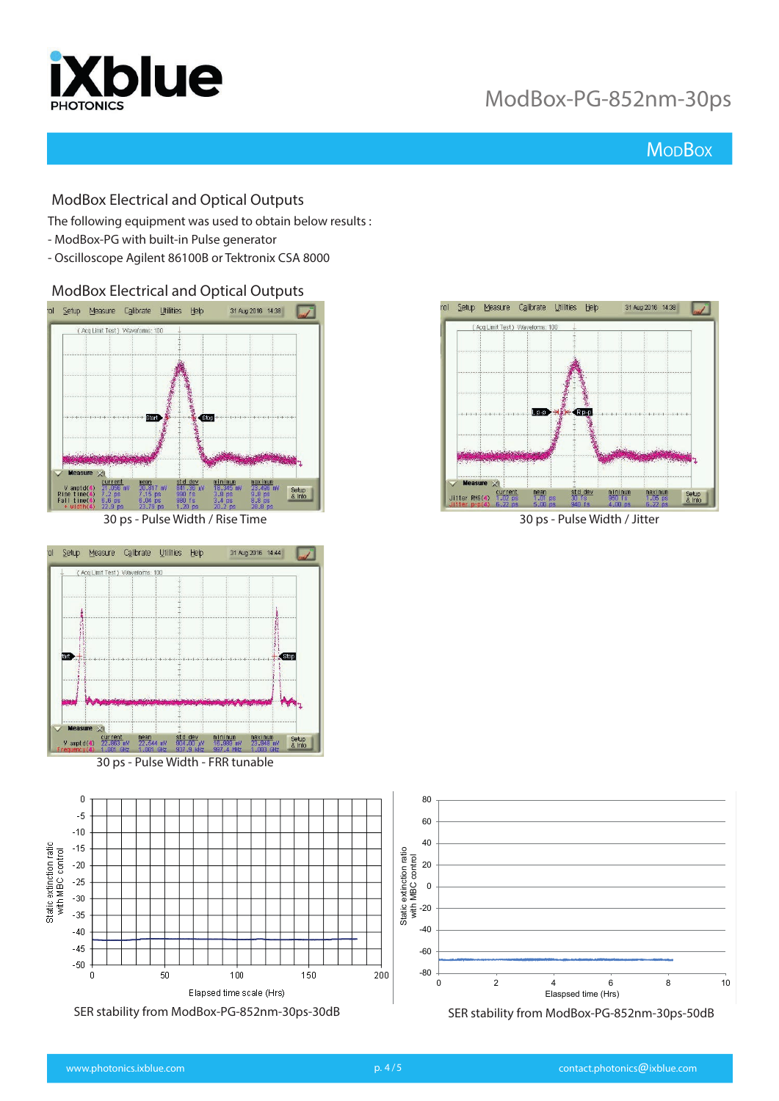

## **Mo<sub>D</sub>Box**

#### ModBox Electrical and Optical Outputs

The following equipment was used to obtain below results :

- ModBox-PG with built-in Pulse generator
- Oscilloscope Agilent 86100B or Tektronix CSA 8000

ModBox Electrical and Optical Outputs



30 ps - Pulse Width / Rise Time 30 ps - Pulse Width / Jitter



30 ps - Pulse Width - FRR tunable



SER stability from ModBox-PG-852nm-30ps-30dB SER stability from ModBox-PG-852nm-30ps-50dB